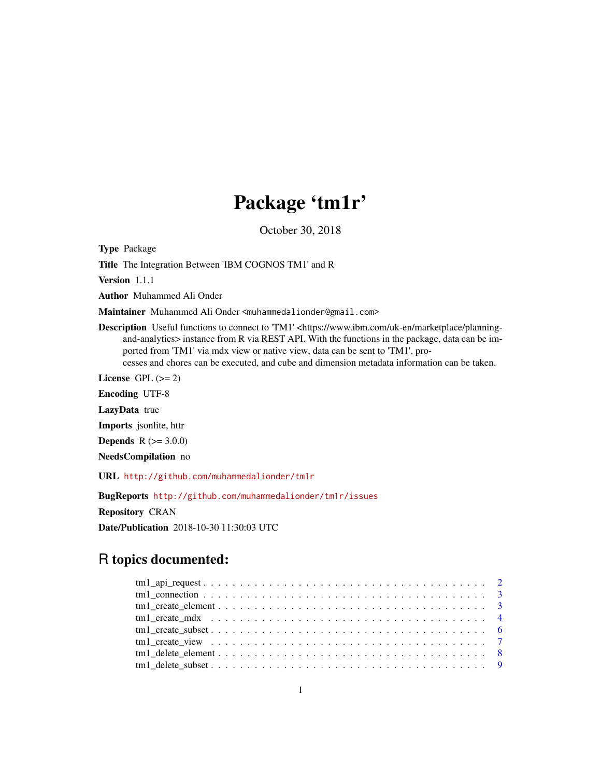# Package 'tm1r'

October 30, 2018

Type Package

Title The Integration Between 'IBM COGNOS TM1' and R

Version 1.1.1

Author Muhammed Ali Onder

Maintainer Muhammed Ali Onder <muhammedalionder@gmail.com>

Description Useful functions to connect to 'TM1' <https://www.ibm.com/uk-en/marketplace/planningand-analytics> instance from R via REST API. With the functions in the package, data can be imported from 'TM1' via mdx view or native view, data can be sent to 'TM1', processes and chores can be executed, and cube and dimension metadata information can be taken.

License GPL  $(>= 2)$ 

Encoding UTF-8

LazyData true

Imports jsonlite, httr

**Depends** R  $(>= 3.0.0)$ 

NeedsCompilation no

URL <http://github.com/muhammedalionder/tm1r>

BugReports <http://github.com/muhammedalionder/tm1r/issues>

Repository CRAN

Date/Publication 2018-10-30 11:30:03 UTC

# R topics documented: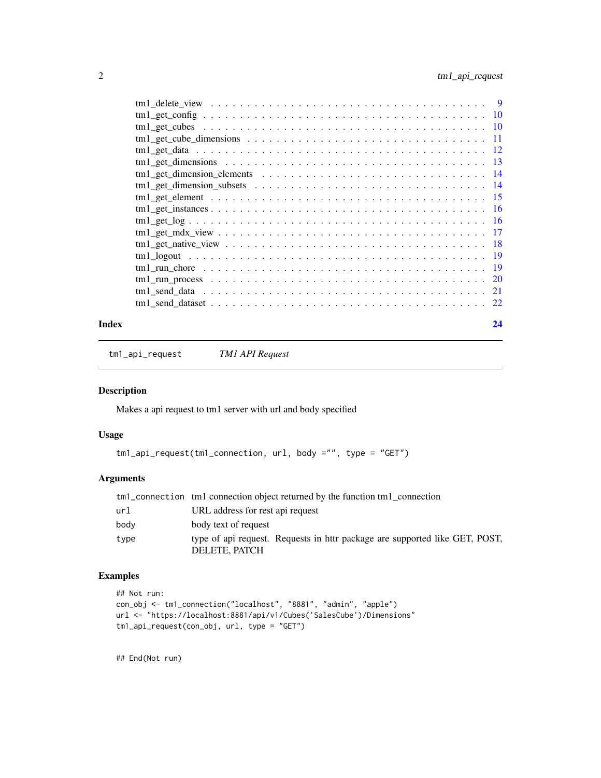<span id="page-1-0"></span>

## **Index** [24](#page-23-0)

tm1\_api\_request *TM1 API Request*

### Description

Makes a api request to tm1 server with url and body specified

## Usage

```
tm1_api_request(tm1_connection, url, body ="", type = "GET")
```
## Arguments

|      | tm <sup>1</sup> _connection tm <sup>1</sup> connection object returned by the function tm <sup>1</sup> connection |
|------|-------------------------------------------------------------------------------------------------------------------|
| url  | URL address for rest api request                                                                                  |
| body | body text of request                                                                                              |
| type | type of api request. Requests in httr package are supported like GET, POST,<br>DELETE, PATCH                      |

## Examples

```
## Not run:
con_obj <- tm1_connection("localhost", "8881", "admin", "apple")
url <- "https://localhost:8881/api/v1/Cubes('SalesCube')/Dimensions"
tm1_api_request(con_obj, url, type = "GET")
```
## End(Not run)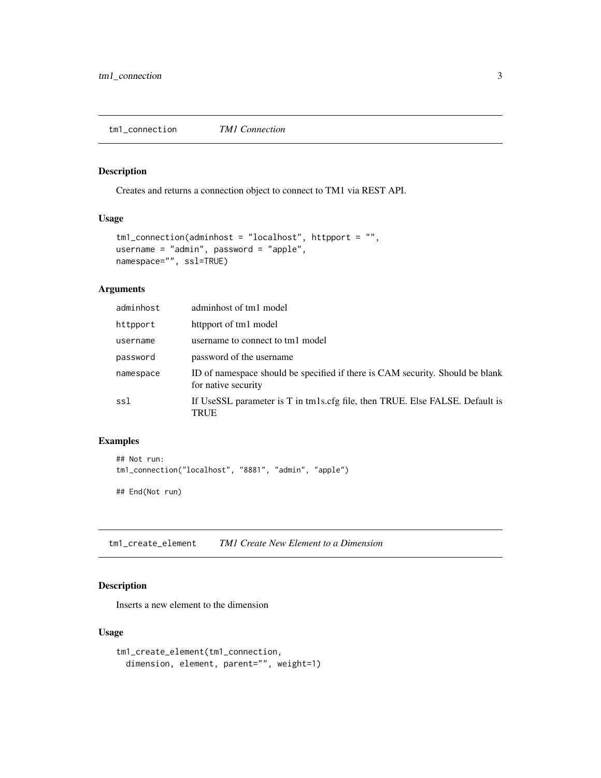<span id="page-2-0"></span>tm1\_connection *TM1 Connection*

## Description

Creates and returns a connection object to connect to TM1 via REST API.

## Usage

```
tm1_connection(adminhost = "localhost", httpport = "",
username = "admin", password = "apple",
namespace="", ssl=TRUE)
```
## Arguments

| adminhost | adminhost of tm1 model                                                                               |
|-----------|------------------------------------------------------------------------------------------------------|
| httpport  | httpport of tm1 model                                                                                |
| username  | username to connect to tm1 model                                                                     |
| password  | password of the username                                                                             |
| namespace | ID of namespace should be specified if there is CAM security. Should be blank<br>for native security |
| ssl       | If UseSSL parameter is T in tm1s.cfg file, then TRUE. Else FALSE. Default is<br>TRUE                 |

## Examples

```
## Not run:
tm1_connection("localhost", "8881", "admin", "apple")
## End(Not run)
```
tm1\_create\_element *TM1 Create New Element to a Dimension*

## Description

Inserts a new element to the dimension

#### Usage

```
tm1_create_element(tm1_connection,
 dimension, element, parent="", weight=1)
```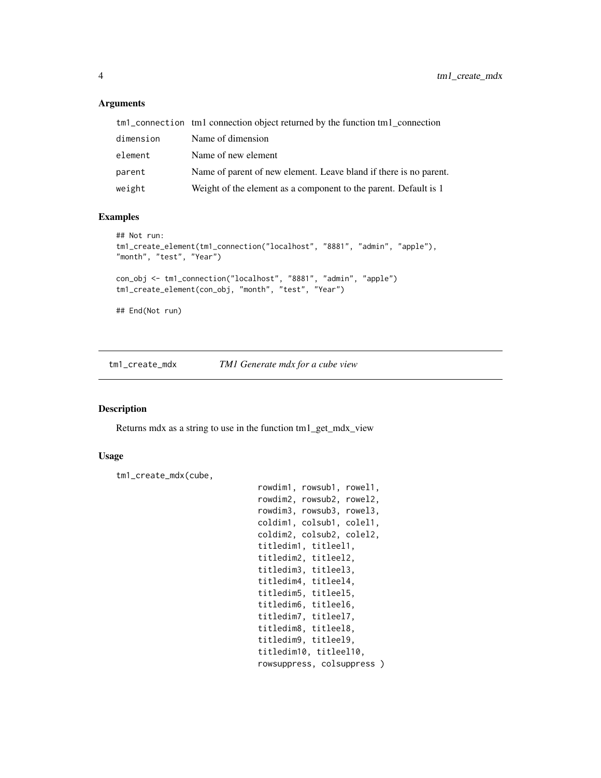#### Arguments

|           | tm <sup>1</sup> _connection tm1 connection object returned by the function tm1_connection |
|-----------|-------------------------------------------------------------------------------------------|
| dimension | Name of dimension                                                                         |
| element   | Name of new element                                                                       |
| parent    | Name of parent of new element. Leave bland if there is no parent.                         |
| weight    | Weight of the element as a component to the parent. Default is 1                          |

## Examples

```
## Not run:
tm1_create_element(tm1_connection("localhost", "8881", "admin", "apple"),
"month", "test", "Year")
con_obj <- tm1_connection("localhost", "8881", "admin", "apple")
tm1_create_element(con_obj, "month", "test", "Year")
## End(Not run)
```
tm1\_create\_mdx *TM1 Generate mdx for a cube view*

#### Description

Returns mdx as a string to use in the function tm1\_get\_mdx\_view

#### Usage

```
tm1_create_mdx(cube,
```

```
rowdim1, rowsub1, rowel1,
rowdim2, rowsub2, rowel2,
rowdim3, rowsub3, rowel3,
coldim1, colsub1, colel1,
coldim2, colsub2, colel2,
titledim1, titleel1,
titledim2, titleel2,
titledim3, titleel3,
titledim4, titleel4,
titledim5, titleel5,
titledim6, titleel6,
titledim7, titleel7,
titledim8, titleel8,
titledim9, titleel9,
titledim10, titleel10,
rowsuppress, colsuppress )
```
<span id="page-3-0"></span>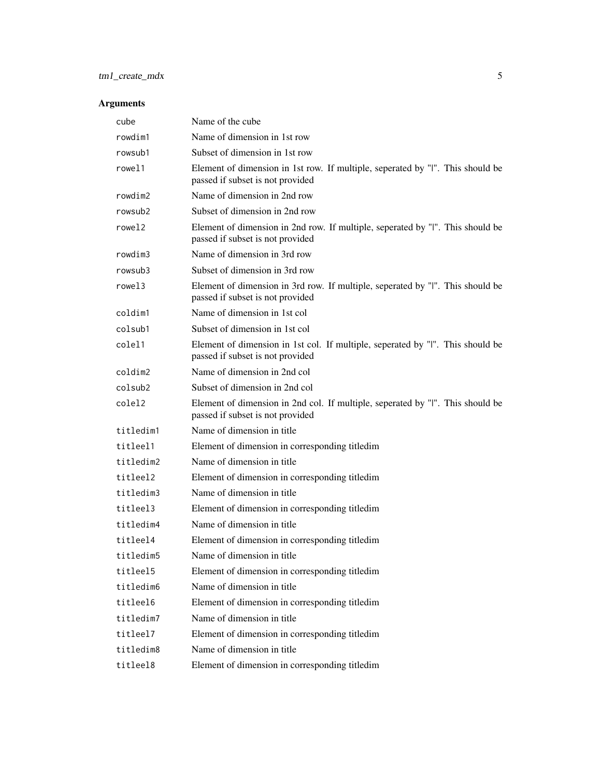# tm1\_create\_mdx 5

| cube      | Name of the cube                                                                                                   |
|-----------|--------------------------------------------------------------------------------------------------------------------|
| rowdim1   | Name of dimension in 1st row                                                                                       |
| rowsub1   | Subset of dimension in 1st row                                                                                     |
| rowel1    | Element of dimension in 1st row. If multiple, seperated by "I". This should be<br>passed if subset is not provided |
| rowdim2   | Name of dimension in 2nd row                                                                                       |
| rowsub2   | Subset of dimension in 2nd row                                                                                     |
| rowel2    | Element of dimension in 2nd row. If multiple, seperated by "I". This should be<br>passed if subset is not provided |
| rowdim3   | Name of dimension in 3rd row                                                                                       |
| rowsub3   | Subset of dimension in 3rd row                                                                                     |
| rowel3    | Element of dimension in 3rd row. If multiple, seperated by "I". This should be<br>passed if subset is not provided |
| coldim1   | Name of dimension in 1st col                                                                                       |
| colsub1   | Subset of dimension in 1st col                                                                                     |
| colel1    | Element of dimension in 1st col. If multiple, seperated by "I". This should be<br>passed if subset is not provided |
| coldim2   | Name of dimension in 2nd col                                                                                       |
| colsub2   | Subset of dimension in 2nd col                                                                                     |
| colel2    | Element of dimension in 2nd col. If multiple, seperated by "I". This should be<br>passed if subset is not provided |
| titledim1 | Name of dimension in title                                                                                         |
| titleel1  | Element of dimension in corresponding titledim                                                                     |
| titledim2 | Name of dimension in title                                                                                         |
| titleel2  | Element of dimension in corresponding titledim                                                                     |
| titledim3 | Name of dimension in title                                                                                         |
| titleel3  | Element of dimension in corresponding titledim                                                                     |
| titledim4 | Name of dimension in title                                                                                         |
| titleel4  | Element of dimension in corresponding titledim                                                                     |
| titledim5 | Name of dimension in title                                                                                         |
| titlee15  | Element of dimension in corresponding titledim                                                                     |
| titledim6 | Name of dimension in title                                                                                         |
| titlee16  | Element of dimension in corresponding titledim                                                                     |
| titledim7 | Name of dimension in title                                                                                         |
| titleel7  | Element of dimension in corresponding titledim                                                                     |
| titledim8 | Name of dimension in title                                                                                         |
| titlee18  | Element of dimension in corresponding titledim                                                                     |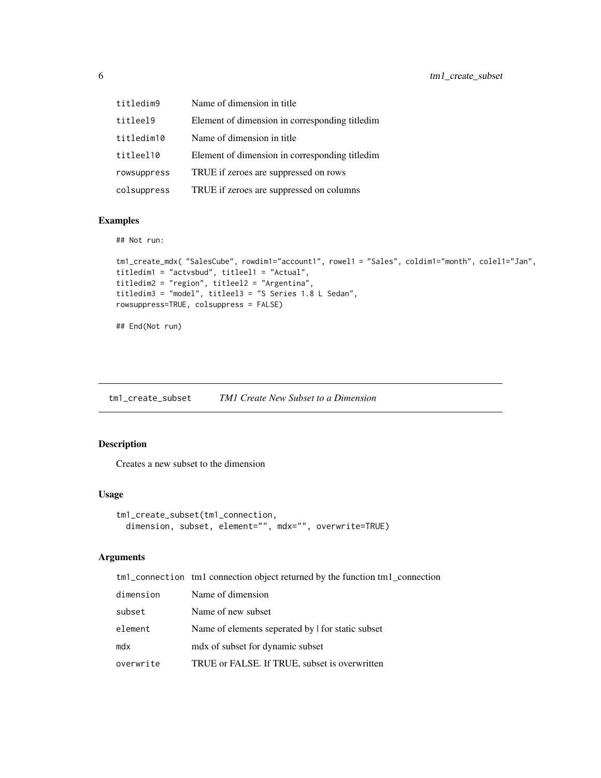<span id="page-5-0"></span>

| titledim9   | Name of dimension in title.                    |
|-------------|------------------------------------------------|
| titleel9    | Element of dimension in corresponding titledim |
| titledim10  | Name of dimension in title                     |
| titleel10   | Element of dimension in corresponding titledim |
| rowsuppress | TRUE if zeroes are suppressed on rows          |
| colsuppress | TRUE if zeroes are suppressed on columns       |

## Examples

## Not run:

```
tm1_create_mdx( "SalesCube", rowdim1="account1", rowel1 = "Sales", coldim1="month", colel1="Jan",
titledim1 = "actvsbud", titleel1 = "Actual",
titledim2 = "region", titleel2 = "Argentina",
titledim3 = "model", titleel3 = "S Series 1.8 L Sedan",
rowsuppress=TRUE, colsuppress = FALSE)
```
## End(Not run)

tm1\_create\_subset *TM1 Create New Subset to a Dimension*

## Description

Creates a new subset to the dimension

#### Usage

```
tm1_create_subset(tm1_connection,
  dimension, subset, element="", mdx="", overwrite=TRUE)
```

|           | tm <sup>1</sup> _connection tm1 connection object returned by the function tm1_connection |
|-----------|-------------------------------------------------------------------------------------------|
| dimension | Name of dimension                                                                         |
| subset    | Name of new subset                                                                        |
| element   | Name of elements seperated by I for static subset                                         |
| mdx       | mdx of subset for dynamic subset                                                          |
| overwrite | TRUE or FALSE. If TRUE, subset is overwritten                                             |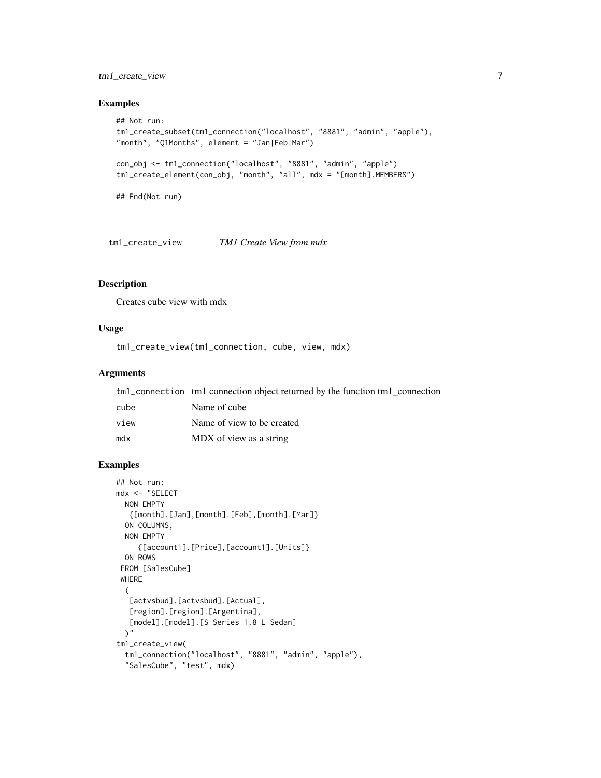## <span id="page-6-0"></span>tm1\_create\_view 7

## Examples

```
## Not run:
tm1_create_subset(tm1_connection("localhost", "8881", "admin", "apple"),
"month", "Q1Months", element = "Jan|Feb|Mar")
con_obj <- tm1_connection("localhost", "8881", "admin", "apple")
tm1_create_element(con_obj, "month", "all", mdx = "[month].MEMBERS")
## End(Not run)
```
tm1\_create\_view *TM1 Create View from mdx*

## Description

Creates cube view with mdx

## Usage

tm1\_create\_view(tm1\_connection, cube, view, mdx)

## Arguments

|      | tm <sup>1</sup> _connection tm1 connection object returned by the function tm1 connection |
|------|-------------------------------------------------------------------------------------------|
| cube | Name of cube                                                                              |
| view | Name of view to be created                                                                |
| mdx  | MDX of view as a string                                                                   |

```
## Not run:
mdx <- "SELECT
 NON EMPTY
  {[month].[Jan],[month].[Feb],[month].[Mar]}
  ON COLUMNS,
  NON EMPTY
     {[account1].[Price],[account1].[Units]}
  ON ROWS
 FROM [SalesCube]
 WHERE
  (
   [actvsbud].[actvsbud].[Actual],
   [region].[region].[Argentina],
   [model].[model].[S Series 1.8 L Sedan]
  )"
tm1_create_view(
  tm1_connection("localhost", "8881", "admin", "apple"),
  "SalesCube", "test", mdx)
```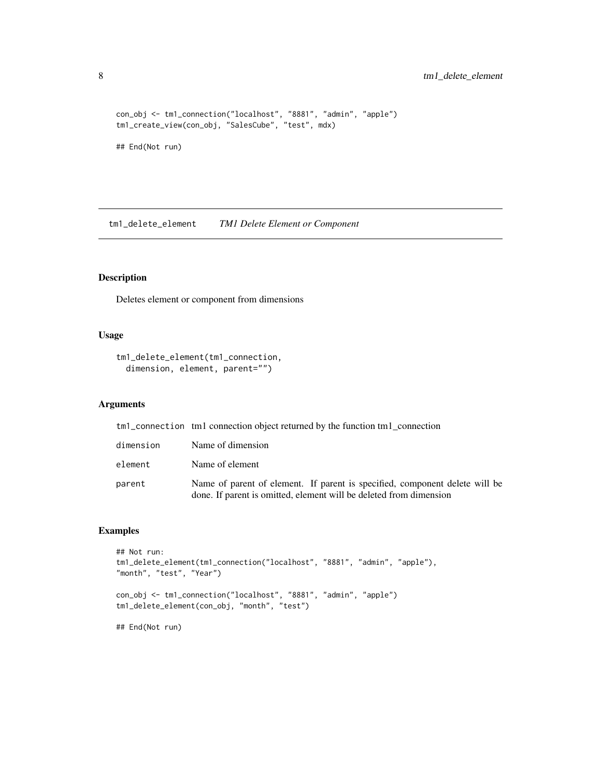```
con_obj <- tm1_connection("localhost", "8881", "admin", "apple")
tm1_create_view(con_obj, "SalesCube", "test", mdx)
```
## End(Not run)

tm1\_delete\_element *TM1 Delete Element or Component*

## Description

Deletes element or component from dimensions

## Usage

```
tm1_delete_element(tm1_connection,
 dimension, element, parent="")
```
## Arguments

|           | tm <sub>1</sub> connection tm <sub>1</sub> connection object returned by the function tm <sub>1</sub> connection                                  |
|-----------|---------------------------------------------------------------------------------------------------------------------------------------------------|
| dimension | Name of dimension                                                                                                                                 |
| element   | Name of element                                                                                                                                   |
| parent    | Name of parent of element. If parent is specified, component delete will be<br>done. If parent is omitted, element will be deleted from dimension |

```
## Not run:
tm1_delete_element(tm1_connection("localhost", "8881", "admin", "apple"),
"month", "test", "Year")
con_obj <- tm1_connection("localhost", "8881", "admin", "apple")
tm1_delete_element(con_obj, "month", "test")
## End(Not run)
```
<span id="page-7-0"></span>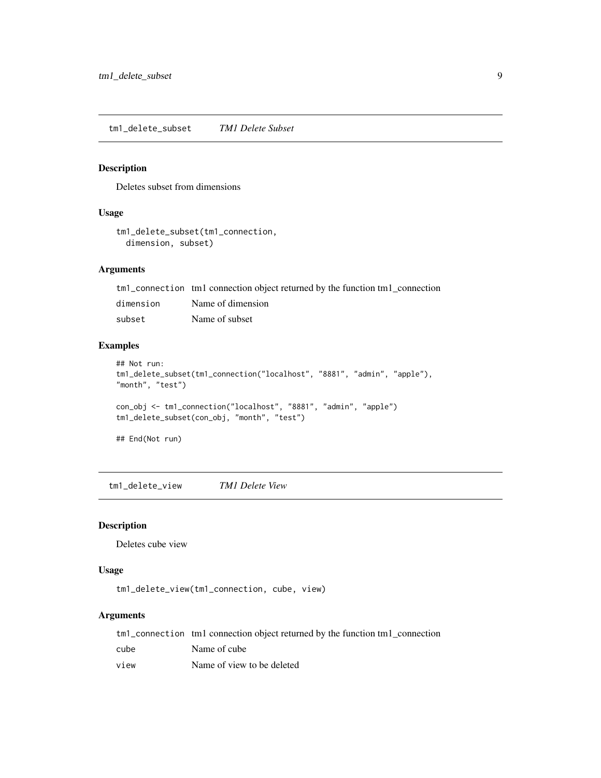<span id="page-8-0"></span>tm1\_delete\_subset *TM1 Delete Subset*

#### Description

Deletes subset from dimensions

#### Usage

```
tm1_delete_subset(tm1_connection,
  dimension, subset)
```
## Arguments

| tm1_connection tm1 connection object returned by the function tm1_connection |  |  |  |  |  |  |  |  |
|------------------------------------------------------------------------------|--|--|--|--|--|--|--|--|
|------------------------------------------------------------------------------|--|--|--|--|--|--|--|--|

dimension Name of dimension subset Name of subset

## Examples

```
## Not run:
tm1_delete_subset(tm1_connection("localhost", "8881", "admin", "apple"),
"month", "test")
con_obj <- tm1_connection("localhost", "8881", "admin", "apple")
tm1_delete_subset(con_obj, "month", "test")
## End(Not run)
```
tm1\_delete\_view *TM1 Delete View*

## Description

Deletes cube view

#### Usage

tm1\_delete\_view(tm1\_connection, cube, view)

|      | tm1_connection tm1 connection object returned by the function tm1_connection |
|------|------------------------------------------------------------------------------|
| cube | Name of cube                                                                 |
| view | Name of view to be deleted                                                   |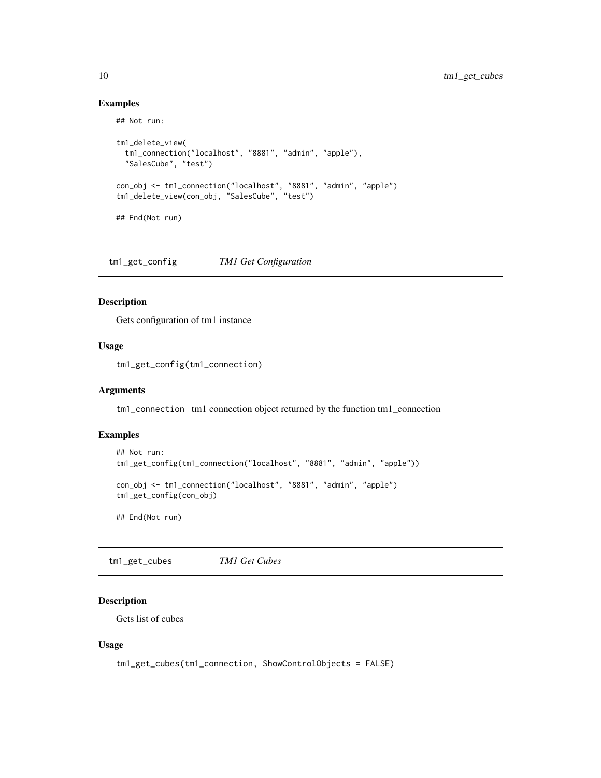#### Examples

## Not run:

```
tm1_delete_view(
  tm1_connection("localhost", "8881", "admin", "apple"),
  "SalesCube", "test")
con_obj <- tm1_connection("localhost", "8881", "admin", "apple")
tm1_delete_view(con_obj, "SalesCube", "test")
## End(Not run)
```
tm1\_get\_config *TM1 Get Configuration*

## Description

Gets configuration of tm1 instance

## Usage

tm1\_get\_config(tm1\_connection)

#### Arguments

tm1\_connection tm1 connection object returned by the function tm1\_connection

## Examples

```
## Not run:
tm1_get_config(tm1_connection("localhost", "8881", "admin", "apple"))
con_obj <- tm1_connection("localhost", "8881", "admin", "apple")
tm1_get_config(con_obj)
```
## End(Not run)

tm1\_get\_cubes *TM1 Get Cubes*

## Description

Gets list of cubes

#### Usage

```
tm1_get_cubes(tm1_connection, ShowControlObjects = FALSE)
```
<span id="page-9-0"></span>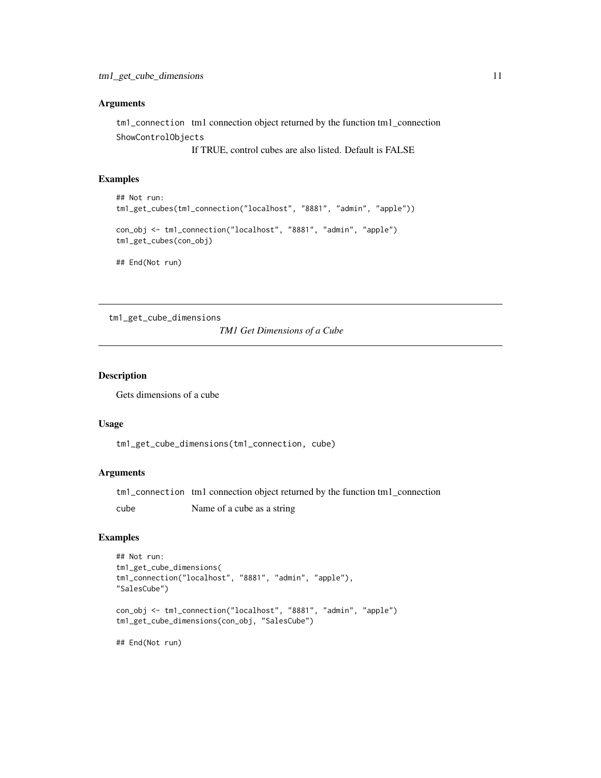#### <span id="page-10-0"></span>Arguments

tm1\_connection tm1 connection object returned by the function tm1\_connection ShowControlObjects

If TRUE, control cubes are also listed. Default is FALSE

## Examples

```
## Not run:
tm1_get_cubes(tm1_connection("localhost", "8881", "admin", "apple"))
con_obj <- tm1_connection("localhost", "8881", "admin", "apple")
tm1_get_cubes(con_obj)
## End(Not run)
```
tm1\_get\_cube\_dimensions

*TM1 Get Dimensions of a Cube*

#### Description

Gets dimensions of a cube

#### Usage

tm1\_get\_cube\_dimensions(tm1\_connection, cube)

#### Arguments

tm1\_connection tm1 connection object returned by the function tm1\_connection

cube Name of a cube as a string

```
## Not run:
tm1_get_cube_dimensions(
tm1_connection("localhost", "8881", "admin", "apple"),
"SalesCube")
con_obj <- tm1_connection("localhost", "8881", "admin", "apple")
tm1_get_cube_dimensions(con_obj, "SalesCube")
## End(Not run)
```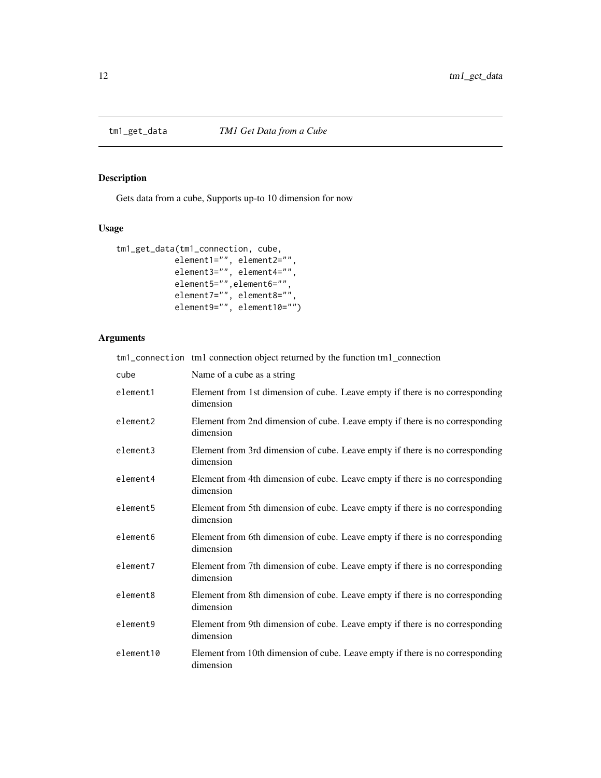<span id="page-11-0"></span>

## Description

Gets data from a cube, Supports up-to 10 dimension for now

## Usage

```
tm1_get_data(tm1_connection, cube,
            element1="", element2="",
            element3="", element4="",
            element5="",element6="",
            element7="", element8="",
            element9="", element10="")
```

|           | tm1_connection tm1 connection object returned by the function tm1_connection               |
|-----------|--------------------------------------------------------------------------------------------|
| cube      | Name of a cube as a string                                                                 |
| element1  | Element from 1st dimension of cube. Leave empty if there is no corresponding<br>dimension  |
| element2  | Element from 2nd dimension of cube. Leave empty if there is no corresponding<br>dimension  |
| element3  | Element from 3rd dimension of cube. Leave empty if there is no corresponding<br>dimension  |
| element4  | Element from 4th dimension of cube. Leave empty if there is no corresponding<br>dimension  |
| element5  | Element from 5th dimension of cube. Leave empty if there is no corresponding<br>dimension  |
| element6  | Element from 6th dimension of cube. Leave empty if there is no corresponding<br>dimension  |
| element7  | Element from 7th dimension of cube. Leave empty if there is no corresponding<br>dimension  |
| element8  | Element from 8th dimension of cube. Leave empty if there is no corresponding<br>dimension  |
| element9  | Element from 9th dimension of cube. Leave empty if there is no corresponding<br>dimension  |
| element10 | Element from 10th dimension of cube. Leave empty if there is no corresponding<br>dimension |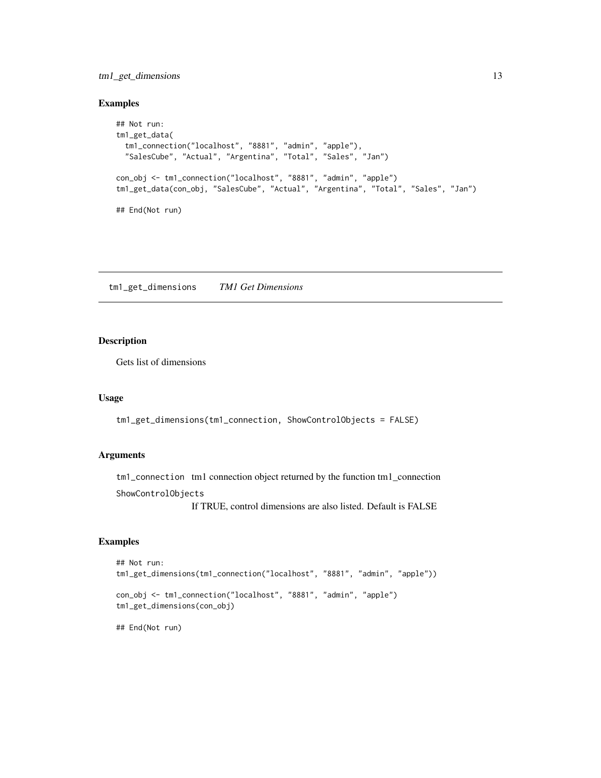## <span id="page-12-0"></span>tm1\_get\_dimensions 13

## Examples

```
## Not run:
tm1_get_data(
  tm1_connection("localhost", "8881", "admin", "apple"),
  "SalesCube", "Actual", "Argentina", "Total", "Sales", "Jan")
con_obj <- tm1_connection("localhost", "8881", "admin", "apple")
tm1_get_data(con_obj, "SalesCube", "Actual", "Argentina", "Total", "Sales", "Jan")
## End(Not run)
```
tm1\_get\_dimensions *TM1 Get Dimensions*

## Description

Gets list of dimensions

#### Usage

```
tm1_get_dimensions(tm1_connection, ShowControlObjects = FALSE)
```
#### Arguments

tm1\_connection tm1 connection object returned by the function tm1\_connection

ShowControlObjects

If TRUE, control dimensions are also listed. Default is FALSE

#### Examples

```
## Not run:
tm1_get_dimensions(tm1_connection("localhost", "8881", "admin", "apple"))
con_obj <- tm1_connection("localhost", "8881", "admin", "apple")
tm1_get_dimensions(con_obj)
```
## End(Not run)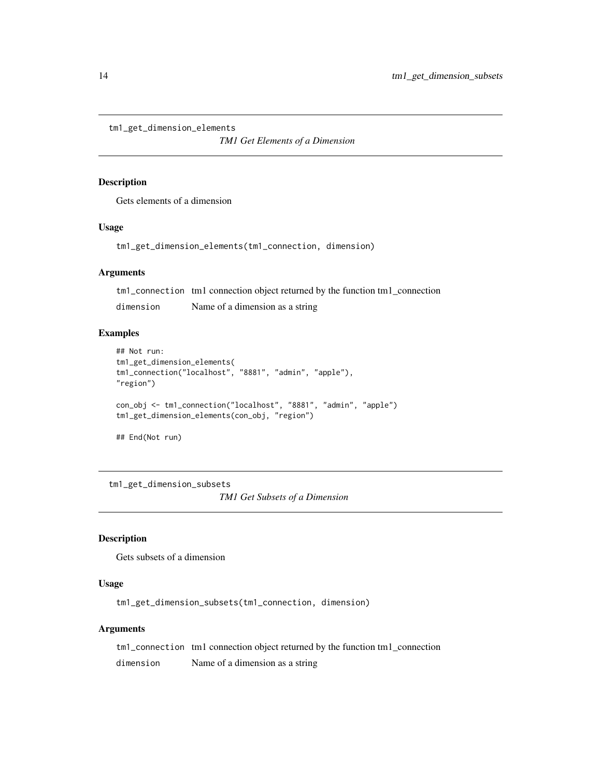```
tm1_get_dimension_elements
```
*TM1 Get Elements of a Dimension*

#### Description

Gets elements of a dimension

#### Usage

tm1\_get\_dimension\_elements(tm1\_connection, dimension)

#### Arguments

tm1\_connection tm1 connection object returned by the function tm1\_connection

dimension Name of a dimension as a string

#### Examples

```
## Not run:
tm1_get_dimension_elements(
tm1_connection("localhost", "8881", "admin", "apple"),
"region")
con_obj <- tm1_connection("localhost", "8881", "admin", "apple")
tm1_get_dimension_elements(con_obj, "region")
## End(Not run)
```
tm1\_get\_dimension\_subsets *TM1 Get Subsets of a Dimension*

#### Description

Gets subsets of a dimension

## Usage

tm1\_get\_dimension\_subsets(tm1\_connection, dimension)

#### Arguments

tm1\_connection tm1 connection object returned by the function tm1\_connection dimension Name of a dimension as a string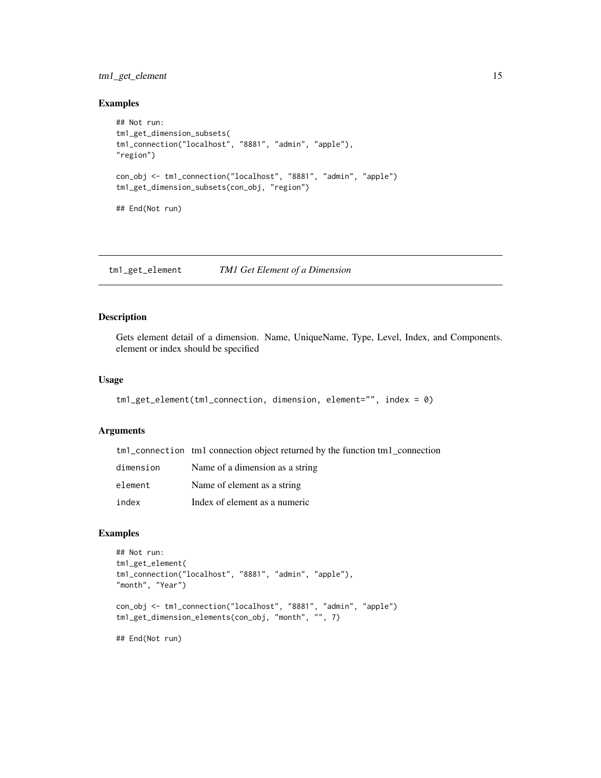## <span id="page-14-0"></span>tm1\_get\_element 15

#### Examples

```
## Not run:
tm1_get_dimension_subsets(
tm1_connection("localhost", "8881", "admin", "apple"),
"region")
con_obj <- tm1_connection("localhost", "8881", "admin", "apple")
tm1_get_dimension_subsets(con_obj, "region")
## End(Not run)
```
tm1\_get\_element *TM1 Get Element of a Dimension*

## Description

Gets element detail of a dimension. Name, UniqueName, Type, Level, Index, and Components. element or index should be specified

## Usage

```
tm1_get_element(tm1_connection, dimension, element="", index = 0)
```
#### Arguments

|           | tm1_connection tm1 connection object returned by the function tm1_connection |
|-----------|------------------------------------------------------------------------------|
| dimension | Name of a dimension as a string                                              |
| element   | Name of element as a string                                                  |
| index     | Index of element as a numeric                                                |

```
## Not run:
tm1_get_element(
tm1_connection("localhost", "8881", "admin", "apple"),
"month", "Year")
con_obj <- tm1_connection("localhost", "8881", "admin", "apple")
tm1_get_dimension_elements(con_obj, "month", "", 7)
## End(Not run)
```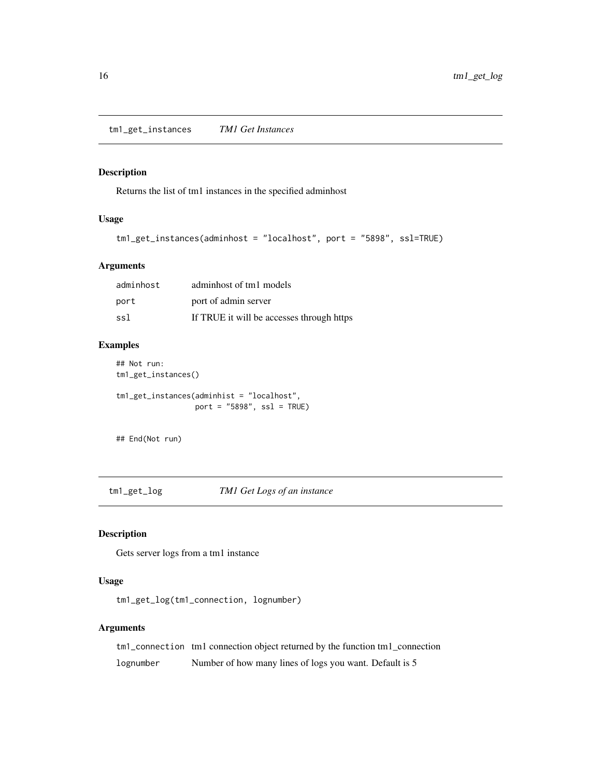<span id="page-15-0"></span>tm1\_get\_instances *TM1 Get Instances*

## Description

Returns the list of tm1 instances in the specified adminhost

## Usage

```
tm1_get_instances(adminhost = "localhost", port = "5898", ssl=TRUE)
```
## Arguments

| adminhost | adminhost of tm1 models                   |
|-----------|-------------------------------------------|
| port      | port of admin server                      |
| ssl       | If TRUE it will be accesses through https |

## Examples

## Not run:

tm1\_get\_instances()

tm1\_get\_instances(adminhist = "localhost", port =  $"5898"$ , ssl = TRUE)

## End(Not run)

tm1\_get\_log *TM1 Get Logs of an instance*

## Description

Gets server logs from a tm1 instance

#### Usage

tm1\_get\_log(tm1\_connection, lognumber)

## Arguments

tm1\_connection tm1 connection object returned by the function tm1\_connection lognumber Number of how many lines of logs you want. Default is 5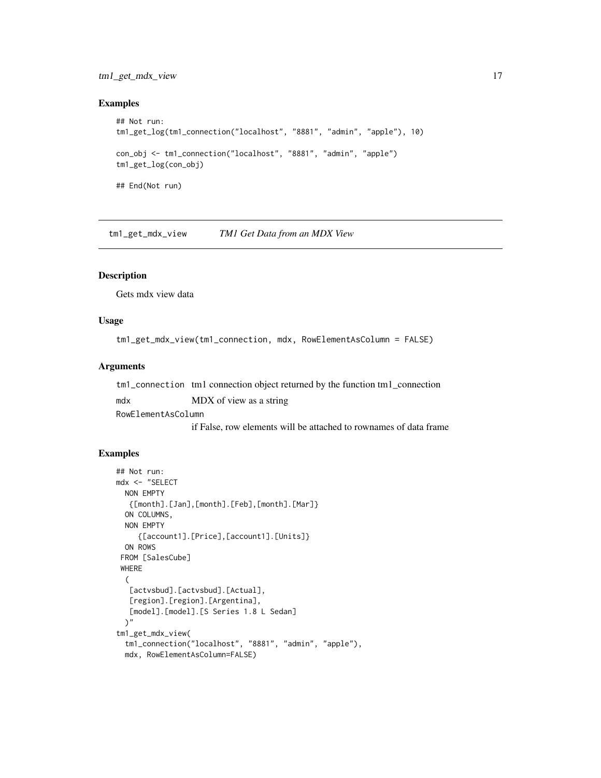## <span id="page-16-0"></span>tm1\_get\_mdx\_view 17

## Examples

```
## Not run:
tm1_get_log(tm1_connection("localhost", "8881", "admin", "apple"), 10)
con_obj <- tm1_connection("localhost", "8881", "admin", "apple")
tm1_get_log(con_obj)
## End(Not run)
```
tm1\_get\_mdx\_view *TM1 Get Data from an MDX View*

## Description

Gets mdx view data

#### Usage

tm1\_get\_mdx\_view(tm1\_connection, mdx, RowElementAsColumn = FALSE)

#### Arguments

| tm <sup>1</sup> _connection tm <sup>1</sup> connection object returned by the function tm <sup>1</sup> _connection |                         |  |  |  |
|--------------------------------------------------------------------------------------------------------------------|-------------------------|--|--|--|
| mdx                                                                                                                | MDX of view as a string |  |  |  |
| RowElementAsColumn                                                                                                 |                         |  |  |  |
|                                                                                                                    |                         |  |  |  |

if False, row elements will be attached to rownames of data frame

```
## Not run:
mdx <- "SELECT
 NON EMPTY
  {[month].[Jan],[month].[Feb],[month].[Mar]}
  ON COLUMNS,
 NON EMPTY
     {[account1].[Price],[account1].[Units]}
  ON ROWS
 FROM [SalesCube]
 WHERE
  (
   [actvsbud].[actvsbud].[Actual],
   [region].[region].[Argentina],
   [model].[model].[S Series 1.8 L Sedan]
  )"
tm1_get_mdx_view(
  tm1_connection("localhost", "8881", "admin", "apple"),
  mdx, RowElementAsColumn=FALSE)
```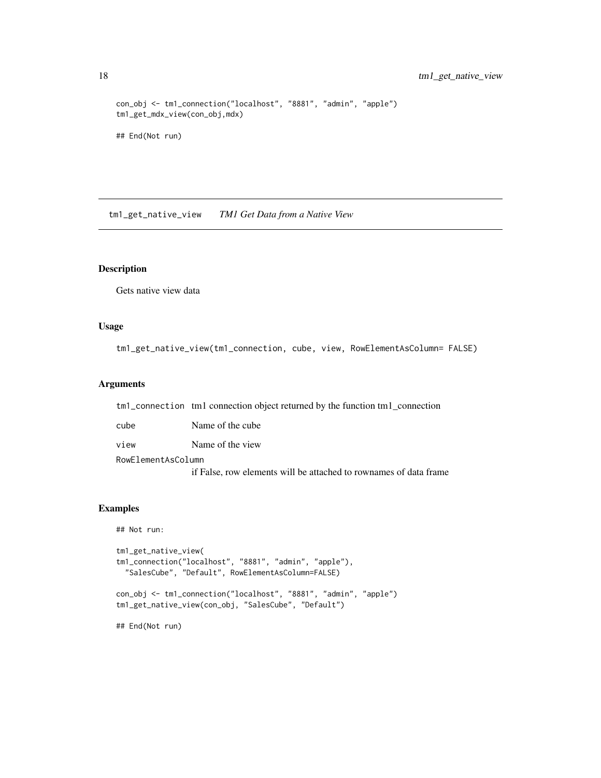```
con_obj <- tm1_connection("localhost", "8881", "admin", "apple")
tm1_get_mdx_view(con_obj,mdx)
## End(Not run)
```
tm1\_get\_native\_view *TM1 Get Data from a Native View*

#### Description

Gets native view data

#### Usage

tm1\_get\_native\_view(tm1\_connection, cube, view, RowElementAsColumn= FALSE)

## Arguments

tm1\_connection tm1 connection object returned by the function tm1\_connection

| cube               | Name of the cube |  |
|--------------------|------------------|--|
| view               | Name of the view |  |
| RowElementAsColumn |                  |  |

if False, row elements will be attached to rownames of data frame

```
## Not run:
tm1_get_native_view(
tm1_connection("localhost", "8881", "admin", "apple"),
 "SalesCube", "Default", RowElementAsColumn=FALSE)
con_obj <- tm1_connection("localhost", "8881", "admin", "apple")
tm1_get_native_view(con_obj, "SalesCube", "Default")
## End(Not run)
```
<span id="page-17-0"></span>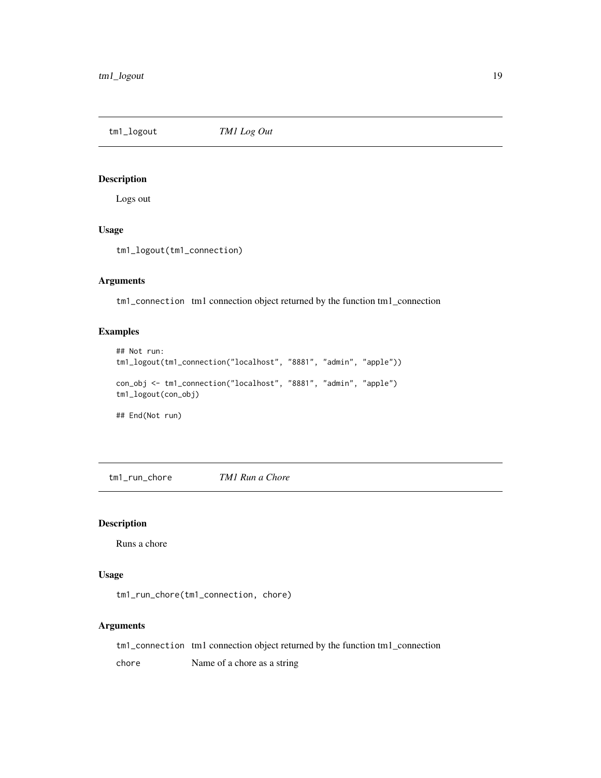<span id="page-18-0"></span>tm1\_logout *TM1 Log Out*

## Description

Logs out

## Usage

tm1\_logout(tm1\_connection)

## Arguments

tm1\_connection tm1 connection object returned by the function tm1\_connection

## Examples

```
## Not run:
tm1_logout(tm1_connection("localhost", "8881", "admin", "apple"))
con_obj <- tm1_connection("localhost", "8881", "admin", "apple")
tm1_logout(con_obj)
## End(Not run)
```
tm1\_run\_chore *TM1 Run a Chore*

#### Description

Runs a chore

## Usage

```
tm1_run_chore(tm1_connection, chore)
```
#### Arguments

tm1\_connection tm1 connection object returned by the function tm1\_connection chore Name of a chore as a string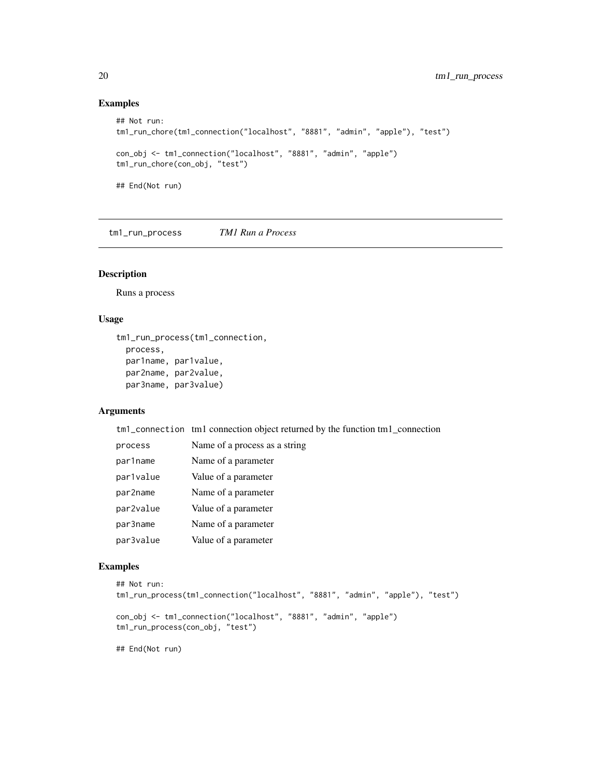## Examples

```
## Not run:
tm1_run_chore(tm1_connection("localhost", "8881", "admin", "apple"), "test")
con_obj <- tm1_connection("localhost", "8881", "admin", "apple")
tm1_run_chore(con_obj, "test")
## End(Not run)
```
tm1\_run\_process *TM1 Run a Process*

#### Description

Runs a process

## Usage

```
tm1_run_process(tm1_connection,
 process,
 par1name, par1value,
 par2name, par2value,
 par3name, par3value)
```
## Arguments

tm1\_connection tm1 connection object returned by the function tm1\_connection

| process   | Name of a process as a string |
|-----------|-------------------------------|
| par1name  | Name of a parameter           |
| par1value | Value of a parameter          |
| par2name  | Name of a parameter           |
| par2value | Value of a parameter          |
| par3name  | Name of a parameter           |
| par3value | Value of a parameter          |

```
## Not run:
tm1_run_process(tm1_connection("localhost", "8881", "admin", "apple"), "test")
con_obj <- tm1_connection("localhost", "8881", "admin", "apple")
tm1_run_process(con_obj, "test")
## End(Not run)
```
<span id="page-19-0"></span>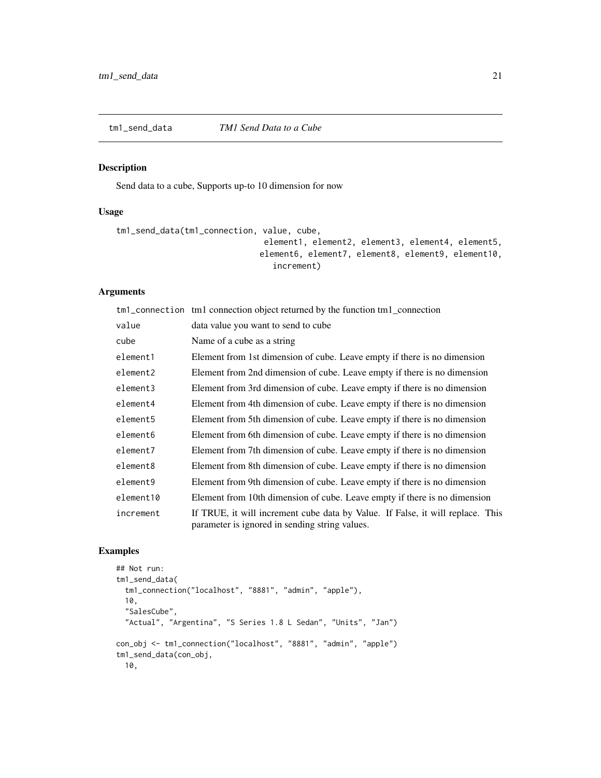<span id="page-20-0"></span>

## Description

Send data to a cube, Supports up-to 10 dimension for now

## Usage

```
tm1_send_data(tm1_connection, value, cube,
                              element1, element2, element3, element4, element5,
                             element6, element7, element8, element9, element10,
                                increment)
```
## Arguments

|           | tm1_connection tm1 connection object returned by the function tm1_connection                                                     |
|-----------|----------------------------------------------------------------------------------------------------------------------------------|
| value     | data value you want to send to cube                                                                                              |
| cube      | Name of a cube as a string                                                                                                       |
| element1  | Element from 1st dimension of cube. Leave empty if there is no dimension                                                         |
| element2  | Element from 2nd dimension of cube. Leave empty if there is no dimension                                                         |
| element3  | Element from 3rd dimension of cube. Leave empty if there is no dimension                                                         |
| element4  | Element from 4th dimension of cube. Leave empty if there is no dimension                                                         |
| element5  | Element from 5th dimension of cube. Leave empty if there is no dimension                                                         |
| element6  | Element from 6th dimension of cube. Leave empty if there is no dimension                                                         |
| element7  | Element from 7th dimension of cube. Leave empty if there is no dimension                                                         |
| element8  | Element from 8th dimension of cube. Leave empty if there is no dimension                                                         |
| element9  | Element from 9th dimension of cube. Leave empty if there is no dimension                                                         |
| element10 | Element from 10th dimension of cube. Leave empty if there is no dimension                                                        |
| increment | If TRUE, it will increment cube data by Value. If False, it will replace. This<br>parameter is ignored in sending string values. |

```
## Not run:
tm1_send_data(
 tm1_connection("localhost", "8881", "admin", "apple"),
 10,
 "SalesCube",
 "Actual", "Argentina", "S Series 1.8 L Sedan", "Units", "Jan")
con_obj <- tm1_connection("localhost", "8881", "admin", "apple")
tm1_send_data(con_obj,
 10,
```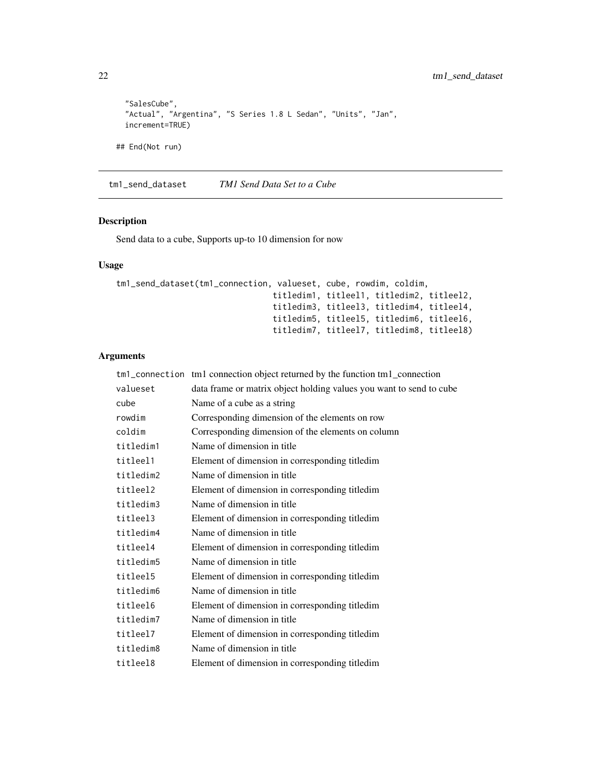```
"SalesCube",
 "Actual", "Argentina", "S Series 1.8 L Sedan", "Units", "Jan",
 increment=TRUE)
## End(Not run)
```
tm1\_send\_dataset *TM1 Send Data Set to a Cube*

## Description

Send data to a cube, Supports up-to 10 dimension for now

## Usage

```
tm1_send_dataset(tm1_connection, valueset, cube, rowdim, coldim,
                                titledim1, titleel1, titledim2, titleel2,
                                titledim3, titleel3, titledim4, titleel4,
                                titledim5, titleel5, titledim6, titleel6,
                                titledim7, titleel7, titledim8, titleel8)
```

|           | tm1_connection tm1 connection object returned by the function tm1_connection |
|-----------|------------------------------------------------------------------------------|
| valueset  | data frame or matrix object holding values you want to send to cube          |
| cube      | Name of a cube as a string                                                   |
| rowdim    | Corresponding dimension of the elements on row                               |
| coldim    | Corresponding dimension of the elements on column                            |
| titledim1 | Name of dimension in title                                                   |
| titleel1  | Element of dimension in corresponding titledim                               |
| titledim2 | Name of dimension in title                                                   |
| titleel2  | Element of dimension in corresponding titledim                               |
| titledim3 | Name of dimension in title                                                   |
| titleel3  | Element of dimension in corresponding titledim                               |
| titledim4 | Name of dimension in title                                                   |
| titleel4  | Element of dimension in corresponding titledim                               |
| titledim5 | Name of dimension in title                                                   |
| titleel5  | Element of dimension in corresponding titledim                               |
| titledim6 | Name of dimension in title                                                   |
| titleel6  | Element of dimension in corresponding titled im                              |
| titledim7 | Name of dimension in title                                                   |
| titleel7  | Element of dimension in corresponding titledim                               |
| titledim8 | Name of dimension in title                                                   |
| titleel8  | Element of dimension in corresponding titledim                               |

<span id="page-21-0"></span>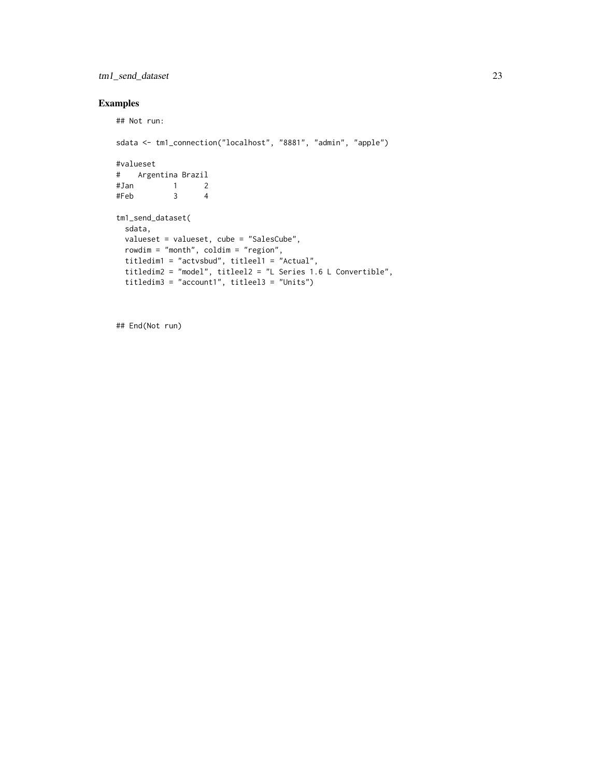## tm1\_send\_dataset 23

## Examples

```
## Not run:
sdata <- tm1_connection("localhost", "8881", "admin", "apple")
#valueset
# Argentina Brazil
#Jan 1 2
#Feb 3 4
tm1_send_dataset(
 sdata,
 valueset = valueset, cube = "SalesCube",
 rowdim = "month", coldim = "region",
 titledim1 = "actvsbud", titleel1 = "Actual",
  titledim2 = "model", titleel2 = "L Series 1.6 L Convertible",
  titledim3 = "account1", titleel3 = "Units")
```
## End(Not run)